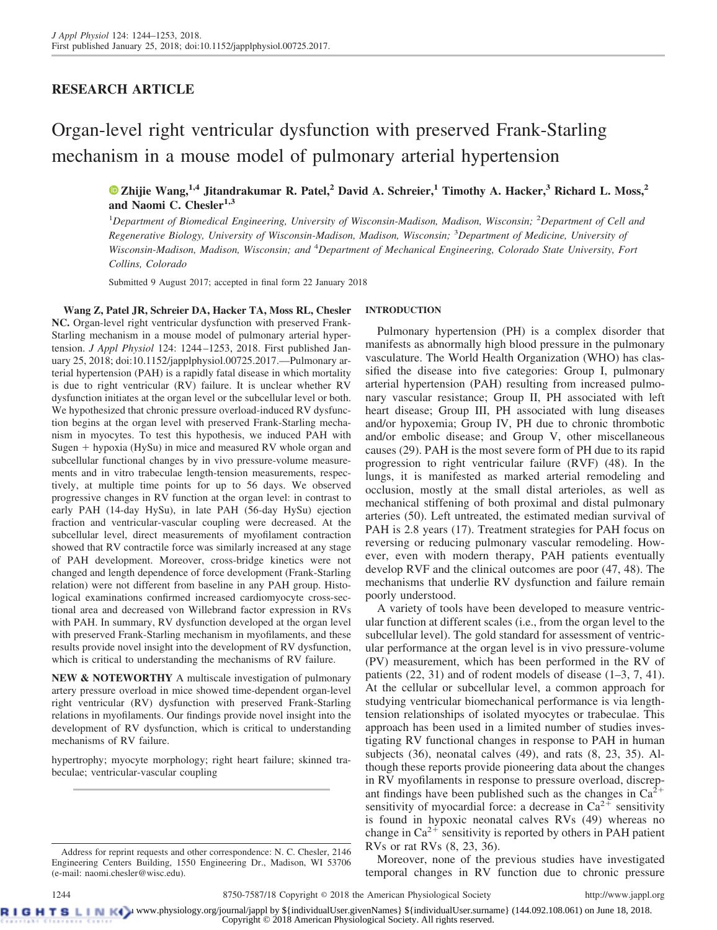## **RESEARCH ARTICLE**

# Organ-level right ventricular dysfunction with preserved Frank-Starling mechanism in a mouse model of pulmonary arterial hypertension

**X [Zhijie Wang,](https://orcid.org/0000-0001-9551-516X)1,4 Jitandrakumar R. Patel,<sup>2</sup> David A. Schreier,<sup>1</sup> Timothy A. Hacker,<sup>3</sup> Richard L. Moss,<sup>2</sup> and Naomi C. Chesler1,3**

1 *Department of Biomedical Engineering, University of Wisconsin-Madison, Madison, Wisconsin;* <sup>2</sup> *Department of Cell and Regenerative Biology, University of Wisconsin-Madison, Madison, Wisconsin;* <sup>3</sup> *Department of Medicine, University of Wisconsin-Madison, Madison, Wisconsin; and* <sup>4</sup> *Department of Mechanical Engineering, Colorado State University, Fort Collins, Colorado*

Submitted 9 August 2017; accepted in final form 22 January 2018

**Wang Z, Patel JR, Schreier DA, Hacker TA, Moss RL, Chesler NC.** Organ-level right ventricular dysfunction with preserved Frank-Starling mechanism in a mouse model of pulmonary arterial hypertension. *J Appl Physiol* 124: 1244 –1253, 2018. First published January 25, 2018; doi[:10.1152/japplphysiol.00725.2017.](https://doi.org/10.1152/japplphysiol.00725.2017)—Pulmonary arterial hypertension (PAH) is a rapidly fatal disease in which mortality is due to right ventricular (RV) failure. It is unclear whether RV dysfunction initiates at the organ level or the subcellular level or both. We hypothesized that chronic pressure overload-induced RV dysfunction begins at the organ level with preserved Frank-Starling mechanism in myocytes. To test this hypothesis, we induced PAH with Sugen + hypoxia (HySu) in mice and measured RV whole organ and subcellular functional changes by in vivo pressure-volume measurements and in vitro trabeculae length-tension measurements, respectively, at multiple time points for up to 56 days. We observed progressive changes in RV function at the organ level: in contrast to early PAH (14-day HySu), in late PAH (56-day HySu) ejection fraction and ventricular-vascular coupling were decreased. At the subcellular level, direct measurements of myofilament contraction showed that RV contractile force was similarly increased at any stage of PAH development. Moreover, cross-bridge kinetics were not changed and length dependence of force development (Frank-Starling relation) were not different from baseline in any PAH group. Histological examinations confirmed increased cardiomyocyte cross-sectional area and decreased von Willebrand factor expression in RVs with PAH. In summary, RV dysfunction developed at the organ level with preserved Frank-Starling mechanism in myofilaments, and these results provide novel insight into the development of RV dysfunction, which is critical to understanding the mechanisms of RV failure.

**NEW & NOTEWORTHY** A multiscale investigation of pulmonary artery pressure overload in mice showed time-dependent organ-level right ventricular (RV) dysfunction with preserved Frank-Starling relations in myofilaments. Our findings provide novel insight into the development of RV dysfunction, which is critical to understanding mechanisms of RV failure.

hypertrophy; myocyte morphology; right heart failure; skinned trabeculae; ventricular-vascular coupling

#### Address for reprint requests and other correspondence: N. C. Chesler, 2146 Engineering Centers Building, 1550 Engineering Dr., Madison, WI 53706 (e-mail: [naomi.chesler@wisc.edu\)](mailto:naomi.chesler@wisc.edu).

#### **INTRODUCTION**

Pulmonary hypertension (PH) is a complex disorder that manifests as abnormally high blood pressure in the pulmonary vasculature. The World Health Organization (WHO) has classified the disease into five categories: Group I, pulmonary arterial hypertension (PAH) resulting from increased pulmonary vascular resistance; Group II, PH associated with left heart disease; Group III, PH associated with lung diseases and/or hypoxemia; Group IV, PH due to chronic thrombotic and/or embolic disease; and Group V, other miscellaneous causes (29). PAH is the most severe form of PH due to its rapid progression to right ventricular failure (RVF) (48). In the lungs, it is manifested as marked arterial remodeling and occlusion, mostly at the small distal arterioles, as well as mechanical stiffening of both proximal and distal pulmonary arteries (50). Left untreated, the estimated median survival of PAH is 2.8 years (17). Treatment strategies for PAH focus on reversing or reducing pulmonary vascular remodeling. However, even with modern therapy, PAH patients eventually develop RVF and the clinical outcomes are poor (47, 48). The mechanisms that underlie RV dysfunction and failure remain poorly understood.

A variety of tools have been developed to measure ventricular function at different scales (i.e., from the organ level to the subcellular level). The gold standard for assessment of ventricular performance at the organ level is in vivo pressure-volume (PV) measurement, which has been performed in the RV of patients (22, 31) and of rodent models of disease (1–3, 7, 41). At the cellular or subcellular level, a common approach for studying ventricular biomechanical performance is via lengthtension relationships of isolated myocytes or trabeculae. This approach has been used in a limited number of studies investigating RV functional changes in response to PAH in human subjects (36), neonatal calves (49), and rats (8, 23, 35). Although these reports provide pioneering data about the changes in RV myofilaments in response to pressure overload, discrepant findings have been published such as the changes in  $Ca^{2+}$ sensitivity of myocardial force: a decrease in  $Ca^{2+}$  sensitivity is found in hypoxic neonatal calves RVs (49) whereas no change in  $Ca^{2+}$  sensitivity is reported by others in PAH patient RVs or rat RVs (8, 23, 36).

Moreover, none of the previous studies have investigated temporal changes in RV function due to chronic pressure

**RIGHTSLINK**) www.physiology.org/journal/jappl by \${individualUser.givenNames} \${individualUser.surname} (144.092.108.061) on June 18, 2018. Copyright © 2018 American Physiological Society. All rights reserved.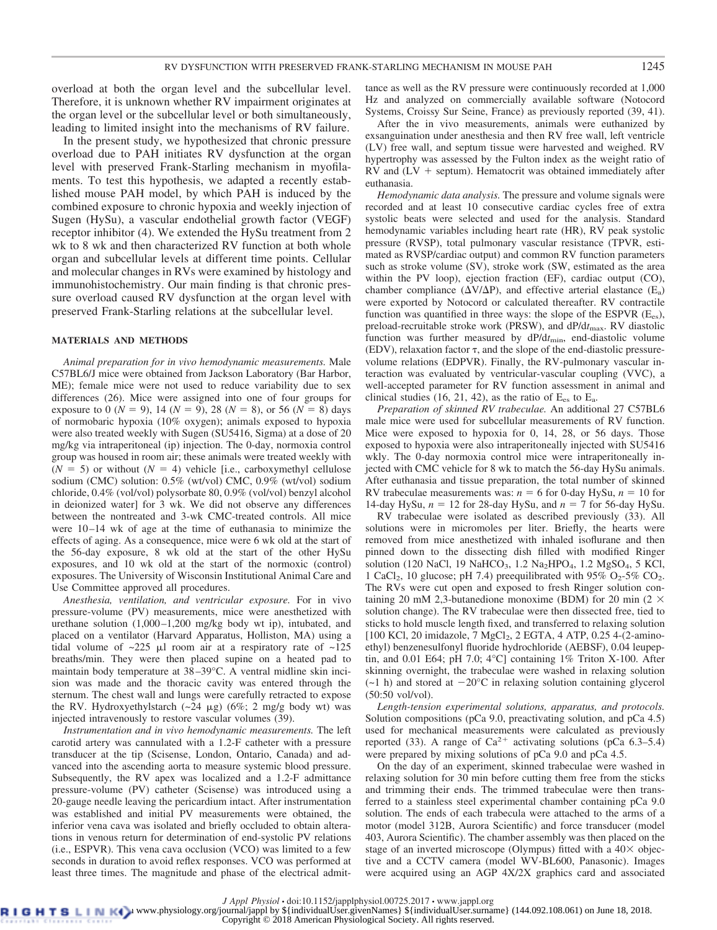overload at both the organ level and the subcellular level. Therefore, it is unknown whether RV impairment originates at the organ level or the subcellular level or both simultaneously, leading to limited insight into the mechanisms of RV failure.

In the present study, we hypothesized that chronic pressure overload due to PAH initiates RV dysfunction at the organ level with preserved Frank-Starling mechanism in myofilaments. To test this hypothesis, we adapted a recently established mouse PAH model, by which PAH is induced by the combined exposure to chronic hypoxia and weekly injection of Sugen (HySu), a vascular endothelial growth factor (VEGF) receptor inhibitor (4). We extended the HySu treatment from 2 wk to 8 wk and then characterized RV function at both whole organ and subcellular levels at different time points. Cellular and molecular changes in RVs were examined by histology and immunohistochemistry. Our main finding is that chronic pressure overload caused RV dysfunction at the organ level with preserved Frank-Starling relations at the subcellular level.

#### **MATERIALS AND METHODS**

*Animal preparation for in vivo hemodynamic measurements.* Male C57BL6/J mice were obtained from Jackson Laboratory (Bar Harbor, ME); female mice were not used to reduce variability due to sex differences (26). Mice were assigned into one of four groups for exposure to 0 ( $N = 9$ ), 14 ( $N = 9$ ), 28 ( $N = 8$ ), or 56 ( $N = 8$ ) days of normobaric hypoxia (10% oxygen); animals exposed to hypoxia were also treated weekly with Sugen (SU5416, Sigma) at a dose of 20 mg/kg via intraperitoneal (ip) injection. The 0-day, normoxia control group was housed in room air; these animals were treated weekly with  $(N = 5)$  or without  $(N = 4)$  vehicle [i.e., carboxymethyl cellulose sodium (CMC) solution: 0.5% (wt/vol) CMC, 0.9% (wt/vol) sodium chloride, 0.4% (vol/vol) polysorbate 80, 0.9% (vol/vol) benzyl alcohol in deionized water] for 3 wk. We did not observe any differences between the nontreated and 3-wk CMC-treated controls. All mice were  $10-14$  wk of age at the time of euthanasia to minimize the effects of aging. As a consequence, mice were 6 wk old at the start of the 56-day exposure, 8 wk old at the start of the other HySu exposures, and 10 wk old at the start of the normoxic (control) exposures. The University of Wisconsin Institutional Animal Care and Use Committee approved all procedures.

*Anesthesia, ventilation, and ventricular exposure.* For in vivo pressure-volume (PV) measurements, mice were anesthetized with urethane solution  $(1,000-1,200 \text{ mg/kg}$  body wt ip), intubated, and placed on a ventilator (Harvard Apparatus, Holliston, MA) using a tidal volume of  $\sim 225$   $\mu$ l room air at a respiratory rate of  $\sim 125$ breaths/min. They were then placed supine on a heated pad to maintain body temperature at 38 –39°C. A ventral midline skin incision was made and the thoracic cavity was entered through the sternum. The chest wall and lungs were carefully retracted to expose the RV. Hydroxyethylstarch  $(-24 \mu g)$  (6%; 2 mg/g body wt) was injected intravenously to restore vascular volumes (39).

*Instrumentation and in vivo hemodynamic measurements.* The left carotid artery was cannulated with a 1.2-F catheter with a pressure transducer at the tip (Scisense, London, Ontario, Canada) and advanced into the ascending aorta to measure systemic blood pressure. Subsequently, the RV apex was localized and a 1.2-F admittance pressure-volume (PV) catheter (Scisense) was introduced using a 20-gauge needle leaving the pericardium intact. After instrumentation was established and initial PV measurements were obtained, the inferior vena cava was isolated and briefly occluded to obtain alterations in venous return for determination of end-systolic PV relations (i.e., ESPVR). This vena cava occlusion (VCO) was limited to a few seconds in duration to avoid reflex responses. VCO was performed at least three times. The magnitude and phase of the electrical admittance as well as the RV pressure were continuously recorded at 1,000 Hz and analyzed on commercially available software (Notocord Systems, Croissy Sur Seine, France) as previously reported (39, 41).

After the in vivo measurements, animals were euthanized by exsanguination under anesthesia and then RV free wall, left ventricle (LV) free wall, and septum tissue were harvested and weighed. RV hypertrophy was assessed by the Fulton index as the weight ratio of  $RV$  and  $(LV + septum)$ . Hematocrit was obtained immediately after euthanasia.

*Hemodynamic data analysis.* The pressure and volume signals were recorded and at least 10 consecutive cardiac cycles free of extra systolic beats were selected and used for the analysis. Standard hemodynamic variables including heart rate (HR), RV peak systolic pressure (RVSP), total pulmonary vascular resistance (TPVR, estimated as RVSP/cardiac output) and common RV function parameters such as stroke volume (SV), stroke work (SW, estimated as the area within the PV loop), ejection fraction (EF), cardiac output (CO), chamber compliance ( $\Delta V/\Delta P$ ), and effective arterial elastance (E<sub>a</sub>) were exported by Notocord or calculated thereafter. RV contractile function was quantified in three ways: the slope of the ESPVR  $(E_{es})$ , preload-recruitable stroke work (PRSW), and dP/dt<sub>max</sub>. RV diastolic function was further measured by dP/d*t*min, end-diastolic volume (EDV), relaxation factor  $\tau$ , and the slope of the end-diastolic pressurevolume relations (EDPVR). Finally, the RV-pulmonary vascular interaction was evaluated by ventricular-vascular coupling (VVC), a well-accepted parameter for RV function assessment in animal and clinical studies (16, 21, 42), as the ratio of  $E_{es}$  to  $E_a$ .

*Preparation of skinned RV trabeculae.* An additional 27 C57BL6 male mice were used for subcellular measurements of RV function. Mice were exposed to hypoxia for 0, 14, 28, or 56 days. Those exposed to hypoxia were also intraperitoneally injected with SU5416 wkly. The 0-day normoxia control mice were intraperitoneally injected with CMC vehicle for 8 wk to match the 56-day HySu animals. After euthanasia and tissue preparation, the total number of skinned RV trabeculae measurements was:  $n = 6$  for 0-day HySu,  $n = 10$  for 14-day HySu,  $n = 12$  for 28-day HySu, and  $n = 7$  for 56-day HySu.

RV trabeculae were isolated as described previously (33). All solutions were in micromoles per liter. Briefly, the hearts were removed from mice anesthetized with inhaled isoflurane and then pinned down to the dissecting dish filled with modified Ringer solution (120 NaCl, 19 NaHCO<sub>3</sub>, 1.2 Na<sub>2</sub>HPO<sub>4</sub>, 1.2 MgSO<sub>4</sub>, 5 KCl, 1 CaCl<sub>2</sub>, 10 glucose; pH 7.4) preequilibrated with  $95\%$  O<sub>2</sub>-5\% CO<sub>2</sub>. The RVs were cut open and exposed to fresh Ringer solution containing 20 mM 2,3-butanedione monoxime (BDM) for 20 min (2  $\times$ solution change). The RV trabeculae were then dissected free, tied to sticks to hold muscle length fixed, and transferred to relaxing solution [100 KCl, 20 imidazole, 7 MgCl<sub>2</sub>, 2 EGTA, 4 ATP, 0.25 4-(2-aminoethyl) benzenesulfonyl fluoride hydrochloride (AEBSF), 0.04 leupeptin, and 0.01 E64; pH 7.0;  $4^{\circ}$ C] containing 1% Triton X-100. After skinning overnight, the trabeculae were washed in relaxing solution  $(-1 h)$  and stored at  $-20^{\circ}$ C in relaxing solution containing glycerol (50:50 vol/vol).

*Length-tension experimental solutions, apparatus, and protocols.* Solution compositions (pCa 9.0, preactivating solution, and pCa 4.5) used for mechanical measurements were calculated as previously reported (33). A range of Ca<sup>2+</sup> activating solutions (pCa 6.3–5.4) were prepared by mixing solutions of pCa 9.0 and pCa 4.5.

On the day of an experiment, skinned trabeculae were washed in relaxing solution for 30 min before cutting them free from the sticks and trimming their ends. The trimmed trabeculae were then transferred to a stainless steel experimental chamber containing pCa 9.0 solution. The ends of each trabecula were attached to the arms of a motor (model 312B, Aurora Scientific) and force transducer (model 403, Aurora Scientific). The chamber assembly was then placed on the stage of an inverted microscope (Olympus) fitted with a  $40\times$  objective and a CCTV camera (model WV-BL600, Panasonic). Images were acquired using an AGP 4X/2X graphics card and associated

*J Appl Physiol* • doi:10.1152/japplphysiol.00725.2017 • www.jappl.org<br>B L D Www.physiology.org/journal/jappl by \${individualUser.givenNames} \${individualUser.surname} (144.092.108.061) on June 18, 2018.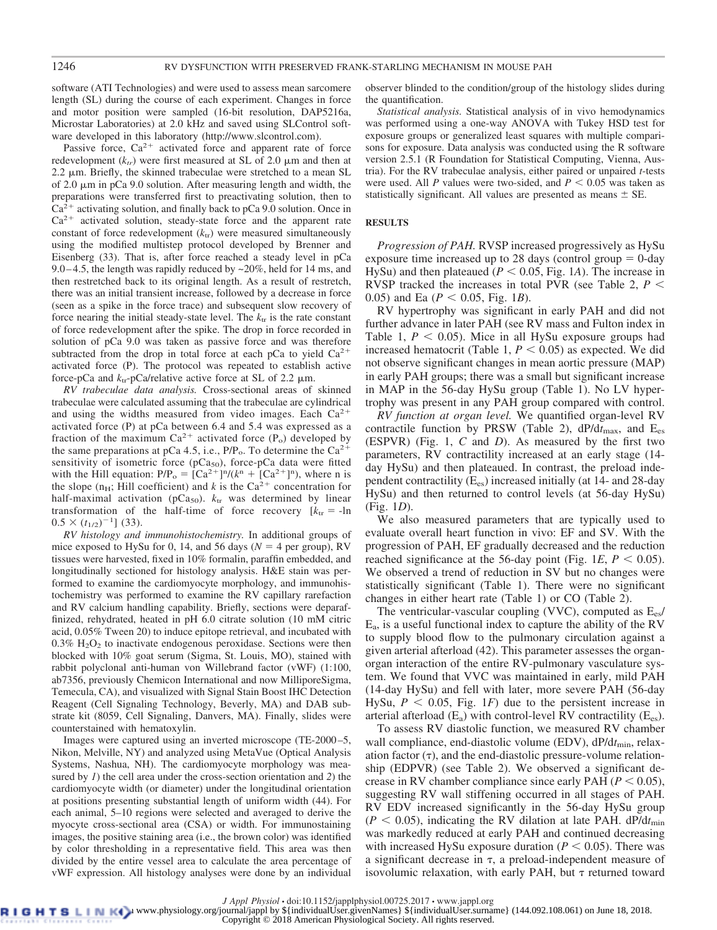software (ATI Technologies) and were used to assess mean sarcomere length (SL) during the course of each experiment. Changes in force and motor position were sampled (16-bit resolution, DAP5216a, Microstar Laboratories) at 2.0 kHz and saved using SLControl software developed in this laboratory [\(http://www.slcontrol.com\)](http://www.slcontrol.com).

Passive force,  $Ca^{2+}$  activated force and apparent rate of force redevelopment  $(k<sub>tr</sub>)$  were first measured at SL of 2.0  $\mu$ m and then at  $2.2 \mu$ m. Briefly, the skinned trabeculae were stretched to a mean SL of 2.0  $\mu$ m in pCa 9.0 solution. After measuring length and width, the preparations were transferred first to preactivating solution, then to  $Ca<sup>2+</sup>$  activating solution, and finally back to pCa 9.0 solution. Once in Ca<sup>2+</sup> activated solution, steady-state force and the apparent rate constant of force redevelopment  $(k<sub>tr</sub>)$  were measured simultaneously using the modified multistep protocol developed by Brenner and Eisenberg (33). That is, after force reached a steady level in pCa 9.0 – 4.5, the length was rapidly reduced by  $\approx$  20%, held for 14 ms, and then restretched back to its original length. As a result of restretch, there was an initial transient increase, followed by a decrease in force (seen as a spike in the force trace) and subsequent slow recovery of force nearing the initial steady-state level. The  $k_{tr}$  is the rate constant of force redevelopment after the spike. The drop in force recorded in solution of pCa 9.0 was taken as passive force and was therefore subtracted from the drop in total force at each pCa to yield  $Ca^{2+}$ activated force (P). The protocol was repeated to establish active force-pCa and  $k_{tr}$ -pCa/relative active force at SL of 2.2  $\mu$ m.

*RV trabeculae data analysis.* Cross-sectional areas of skinned trabeculae were calculated assuming that the trabeculae are cylindrical and using the widths measured from video images. Each  $Ca^{2+}$ activated force (P) at pCa between 6.4 and 5.4 was expressed as a fraction of the maximum  $Ca^{2+}$  activated force (P<sub>o</sub>) developed by the same preparations at pCa 4.5, i.e.,  $P/P_0$ . To determine the Ca<sup>2+</sup> sensitivity of isometric force ( $pCa<sub>50</sub>$ ), force- $pCa$  data were fitted with the Hill equation:  $P/P_0 = [Ca^{2+}]^n/(k^n + [Ca^{2+}]^n)$ , where n is the slope  $(n_H; Hill coefficient)$  and *k* is the Ca<sup>2+</sup> concentration for half-maximal activation ( $pCa<sub>50</sub>$ ).  $k<sub>tr</sub>$  was determined by linear transformation of the half-time of force recovery  $[k_{tr} = -\ln$  $0.5 \times (t_{1/2})^{-1}$ ] (33).

*RV histology and immunohistochemistry.* In additional groups of mice exposed to HySu for 0, 14, and 56 days ( $N = 4$  per group), RV tissues were harvested, fixed in 10% formalin, paraffin embedded, and longitudinally sectioned for histology analysis. H&E stain was performed to examine the cardiomyocyte morphology, and immunohistochemistry was performed to examine the RV capillary rarefaction and RV calcium handling capability. Briefly, sections were deparaffinized, rehydrated, heated in pH 6.0 citrate solution (10 mM citric acid, 0.05% Tween 20) to induce epitope retrieval, and incubated with  $0.3\%$  H<sub>2</sub>O<sub>2</sub> to inactivate endogenous peroxidase. Sections were then blocked with 10% goat serum (Sigma, St. Louis, MO), stained with rabbit polyclonal anti-human von Willebrand factor (vWF) (1:100, ab7356, previously Chemicon International and now MilliporeSigma, Temecula, CA), and visualized with Signal Stain Boost IHC Detection Reagent (Cell Signaling Technology, Beverly, MA) and DAB substrate kit (8059, Cell Signaling, Danvers, MA). Finally, slides were counterstained with hematoxylin.

Images were captured using an inverted microscope (TE-2000 –5, Nikon, Melville, NY) and analyzed using MetaVue (Optical Analysis Systems, Nashua, NH). The cardiomyocyte morphology was measured by *1*) the cell area under the cross-section orientation and *2*) the cardiomyocyte width (or diameter) under the longitudinal orientation at positions presenting substantial length of uniform width (44). For each animal, 5–10 regions were selected and averaged to derive the myocyte cross-sectional area (CSA) or width. For immunostaining images, the positive staining area (i.e., the brown color) was identified by color thresholding in a representative field. This area was then divided by the entire vessel area to calculate the area percentage of vWF expression. All histology analyses were done by an individual observer blinded to the condition/group of the histology slides during the quantification.

*Statistical analysis.* Statistical analysis of in vivo hemodynamics was performed using a one-way ANOVA with Tukey HSD test for exposure groups or generalized least squares with multiple comparisons for exposure. Data analysis was conducted using the R software version 2.5.1 (R Foundation for Statistical Computing, Vienna, Austria). For the RV trabeculae analysis, either paired or unpaired *t*-tests were used. All *P* values were two-sided, and  $P \leq 0.05$  was taken as statistically significant. All values are presented as means  $\pm$  SE.

#### **RESULTS**

*Progression of PAH.* RVSP increased progressively as HySu exposure time increased up to 28 days (control group  $= 0$ -day HySu) and then plateaued ( $P \le 0.05$ , Fig. 1*A*). The increase in RVSP tracked the increases in total PVR (see Table 2, *P* 0.05) and Ea ( $P < 0.05$ , Fig. 1*B*).

RV hypertrophy was significant in early PAH and did not further advance in later PAH (see RV mass and Fulton index in Table 1,  $P \leq 0.05$ ). Mice in all HySu exposure groups had increased hematocrit (Table 1,  $P \leq 0.05$ ) as expected. We did not observe significant changes in mean aortic pressure (MAP) in early PAH groups; there was a small but significant increase in MAP in the 56-day HySu group (Table 1). No LV hypertrophy was present in any PAH group compared with control.

*RV function at organ level.* We quantified organ-level RV contractile function by PRSW (Table 2), dP/dt<sub>max</sub>, and E<sub>es</sub> (ESPVR) (Fig. 1, *C* and *D*). As measured by the first two parameters, RV contractility increased at an early stage (14 day HySu) and then plateaued. In contrast, the preload independent contractility  $(E_{es})$  increased initially (at 14- and 28-day HySu) and then returned to control levels (at 56-day HySu) (Fig. 1*D*).

We also measured parameters that are typically used to evaluate overall heart function in vivo: EF and SV. With the progression of PAH, EF gradually decreased and the reduction reached significance at the 56-day point (Fig. 1*E*,  $P < 0.05$ ). We observed a trend of reduction in SV but no changes were statistically significant (Table 1). There were no significant changes in either heart rate (Table 1) or CO (Table 2).

The ventricular-vascular coupling (VVC), computed as  $E_{es}$ / Ea, is a useful functional index to capture the ability of the RV to supply blood flow to the pulmonary circulation against a given arterial afterload (42). This parameter assesses the organorgan interaction of the entire RV-pulmonary vasculature system. We found that VVC was maintained in early, mild PAH (14-day HySu) and fell with later, more severe PAH (56-day HySu,  $P \le 0.05$ , Fig. 1*F*) due to the persistent increase in arterial afterload  $(E_a)$  with control-level RV contractility  $(E_{es})$ .

To assess RV diastolic function, we measured RV chamber wall compliance, end-diastolic volume (EDV), dP/dt<sub>min</sub>, relaxation factor  $(\tau)$ , and the end-diastolic pressure-volume relationship (EDPVR) (see Table 2). We observed a significant decrease in RV chamber compliance since early PAH ( $P \le 0.05$ ), suggesting RV wall stiffening occurred in all stages of PAH. RV EDV increased significantly in the 56-day HySu group  $(P \le 0.05)$ , indicating the RV dilation at late PAH. dP/dt<sub>min</sub> was markedly reduced at early PAH and continued decreasing with increased HySu exposure duration ( $P \leq 0.05$ ). There was a significant decrease in  $\tau$ , a preload-independent measure of isovolumic relaxation, with early PAH, but  $\tau$  returned toward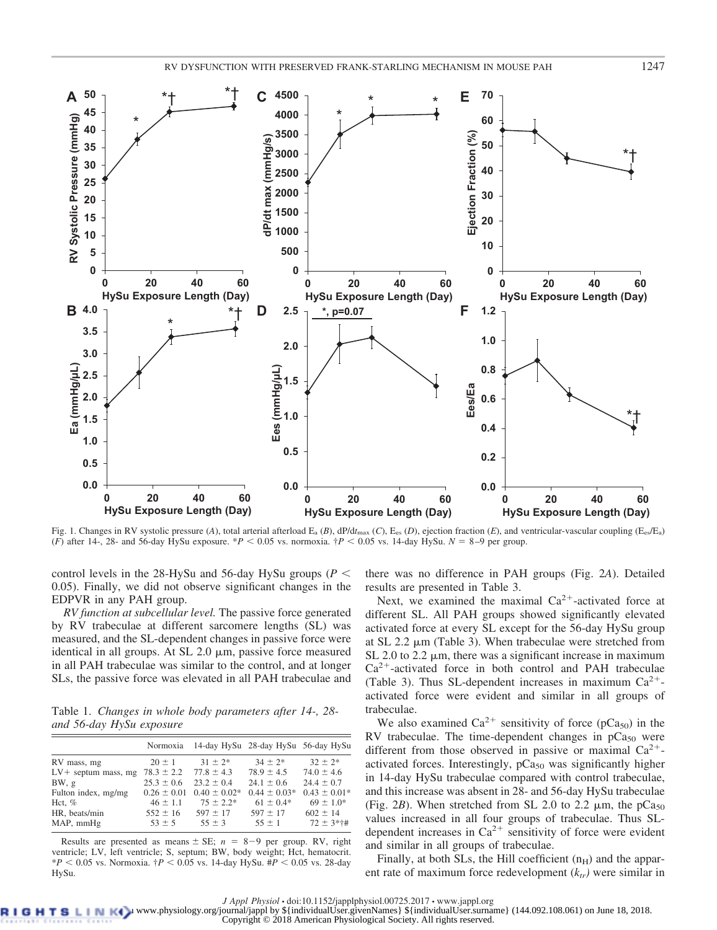**4000 4500**

**C**

**45 50**

**A**

\*

\*† \*†





Fig. 1. Changes in RV systolic pressure (*A*), total arterial afterload E<sub>a</sub> (*B*), dP/d*t*<sub>max</sub> (*C*), E<sub>es</sub> (*D*), ejection fraction (*E*), and ventricular-vascular coupling (E<sub>es</sub>/E<sub>a</sub>) (*F*) after 14-, 28- and 56-day HySu exposure. \**P*  $\lt$  0.05 vs. normoxia.  $\frac{1}{T}P \lt$  0.05 vs. 14-day HySu.  $N = 8-9$  per group.

control levels in the 28-HySu and 56-day HySu groups ( $P \leq$ 0.05). Finally, we did not observe significant changes in the EDPVR in any PAH group.

*RV function at subcellular level.* The passive force generated by RV trabeculae at different sarcomere lengths (SL) was measured, and the SL-dependent changes in passive force were identical in all groups. At  $SL$  2.0  $\mu$ m, passive force measured in all PAH trabeculae was similar to the control, and at longer SLs, the passive force was elevated in all PAH trabeculae and

Table 1. *Changes in whole body parameters after 14-, 28 and 56-day HySu exposure*

|                        | Normoxia                      | 14-day HySu 28-day HySu 56-day HySu |                  |                  |
|------------------------|-------------------------------|-------------------------------------|------------------|------------------|
| RV mass, mg            | $20 \pm 1$                    | $31 \pm 2^*$                        | $34 \pm 2^*$     | $32 + 2*$        |
| $LV$ + septum mass, mg | $78.3 \pm 2.2$ $77.8 \pm 4.3$ |                                     | $78.9 \pm 4.5$   | $74.0 \pm 4.6$   |
| BW, g                  | $25.3 \pm 0.6$                | $23.2 \pm 0.4$                      | $24.1 \pm 0.6$   | $24.4 \pm 0.7$   |
| Fulton index, mg/mg    | $0.26 \pm 0.01$               | $0.40 \pm 0.02^*$                   | $0.44 \pm 0.03*$ | $0.43 \pm 0.01*$ |
| Hct, $%$               | $46 \pm 1.1$                  | $75 \pm 2.2^*$                      | $61 \pm 0.4*$    | $69 \pm 1.0^*$   |
| HR, beats/min          | $552 \pm 16$                  | $597 \pm 17$                        | $597 \pm 17$     | $602 \pm 14$     |
| MAP, mmHg              | $53 \pm 5$                    | $55 \pm 3$                          | $55 \pm 1$       | $72 \pm 3*+1$    |
|                        |                               |                                     |                  |                  |

Results are presented as means  $\pm$  SE;  $n = 8-9$  per group. RV, right ventricle; LV, left ventricle; S, septum; BW, body weight; Hct, hematocrit.  $*P < 0.05$  vs. Normoxia.  $\dagger P < 0.05$  vs. 14-day HySu.  $\#P < 0.05$  vs. 28-day HySu.

there was no difference in PAH groups (Fig. 2*A*). Detailed results are presented in Table 3.

Next, we examined the maximal  $Ca^{2+}$ -activated force at different SL. All PAH groups showed significantly elevated activated force at every SL except for the 56-day HySu group at SL  $2.2 \mu m$  (Table 3). When trabeculae were stretched from SL 2.0 to 2.2  $\mu$ m, there was a significant increase in maximum Ca<sup>2+</sup>-activated force in both control and PAH trabeculae (Table 3). Thus SL-dependent increases in maximum  $Ca^{2+}$ activated force were evident and similar in all groups of trabeculae.

We also examined  $Ca^{2+}$  sensitivity of force (pCa<sub>50</sub>) in the RV trabeculae. The time-dependent changes in  $pCa<sub>50</sub>$  were different from those observed in passive or maximal  $Ca^{2+}$ activated forces. Interestingly,  $pCa<sub>50</sub>$  was significantly higher in 14-day HySu trabeculae compared with control trabeculae, and this increase was absent in 28- and 56-day HySu trabeculae (Fig. 2*B*). When stretched from SL 2.0 to 2.2  $\mu$ m, the pCa<sub>50</sub> values increased in all four groups of trabeculae. Thus SLdependent increases in  $Ca^{2+}$  sensitivity of force were evident and similar in all groups of trabeculae.

Finally, at both SLs, the Hill coefficient  $(n_H)$  and the apparent rate of maximum force redevelopment  $(k<sub>tr</sub>)$  were similar in

*J Appl Physiol* • doi:10.1152/japplphysiol.00725.2017 • www.jappl.org<br>B L D Www.physiology.org/journal/jappl by \${individualUser.givenNames} \${individualUser.surname} (144.092.108.061) on June 18, 2018. Copyright © 2018 American Physiological Society. All rights reserved.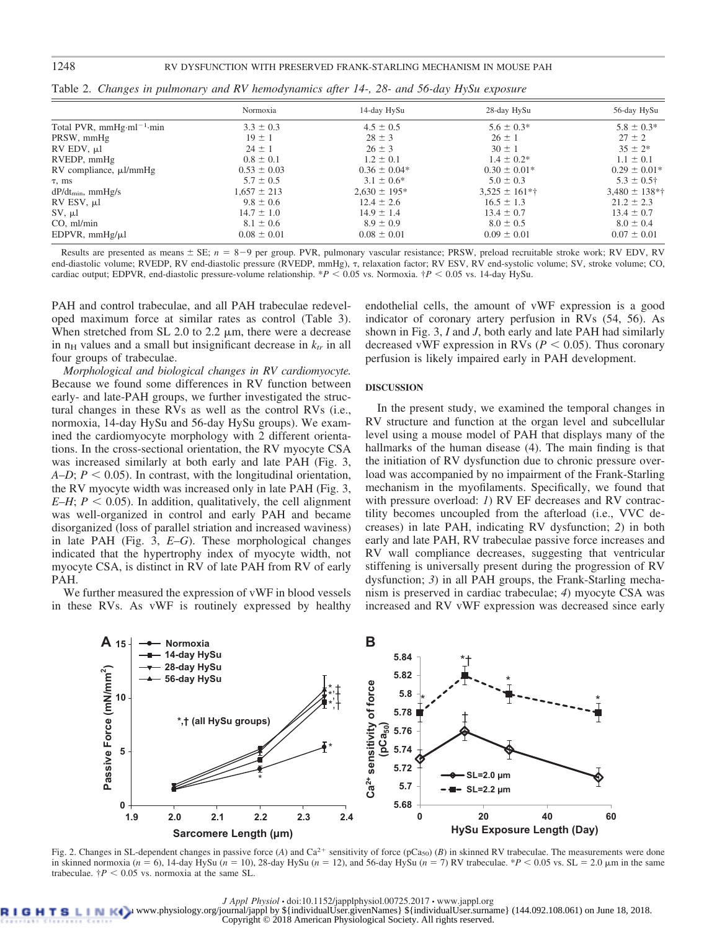## 1248 RV DYSFUNCTION WITH PRESERVED FRANK-STARLING MECHANISM IN MOUSE PAH

|                               | Normoxia        | 14-day HySu      | 28-day HySu                  | 56-day HySu        |
|-------------------------------|-----------------|------------------|------------------------------|--------------------|
| Total PVR, $mmHg·ml^{-1}·min$ | $3.3 \pm 0.3$   | $4.5 \pm 0.5$    | $5.6 \pm 0.3*$               | $5.8 \pm 0.3*$     |
| PRSW, mmHg                    | $19 \pm 1$      | $28 \pm 3$       | $26 \pm 1$                   | $27 \pm 2$         |
| $RV$ EDV, $\mu$ l             | $24 \pm 1$      | $26 \pm 3$       | $30 \pm 1$                   | $35 \pm 2*$        |
| RVEDP, mmHg                   | $0.8 \pm 0.1$   | $1.2 \pm 0.1$    | $1.4 \pm 0.2^*$              | $1.1 \pm 0.1$      |
| $RV$ compliance, $\mu$ l/mmHg | $0.53 \pm 0.03$ | $0.36 \pm 0.04*$ | $0.30 \pm 0.01*$             | $0.29 \pm 0.01*$   |
| $\tau$ , ms                   | $5.7 \pm 0.5$   | $3.1 \pm 0.6^*$  | $5.0 \pm 0.3$                | $5.3 \pm 0.5^+$    |
| $dP/dt_{min}$ , mmHg/s        | $1,657 \pm 213$ | $2.630 \pm 195*$ | $3.525 \pm 161$ <sup>*</sup> | $3,480 \pm 138$ *† |
| $RV$ ESV, $\mu$ l             | $9.8 \pm 0.6$   | $12.4 \pm 2.6$   | $16.5 \pm 1.3$               | $21.2 \pm 2.3$     |
| $SV, \mu l$                   | $14.7 \pm 1.0$  | $14.9 \pm 1.4$   | $13.4 \pm 0.7$               | $13.4 \pm 0.7$     |
| $CO$ , ml/min                 | $8.1 \pm 0.6$   | $8.9 \pm 0.9$    | $8.0 \pm 0.5$                | $8.0 \pm 0.4$      |
| EDPVR, $mmHg/\mu l$           | $0.08 \pm 0.01$ | $0.08 \pm 0.01$  | $0.09 \pm 0.01$              | $0.07 \pm 0.01$    |

Table 2. *Changes in pulmonary and RV hemodynamics after 14-, 28- and 56-day HySu exposure*

Results are presented as means  $\pm$  SE;  $n = 8-9$  per group. PVR, pulmonary vascular resistance; PRSW, preload recruitable stroke work; RV EDV, RV end-diastolic volume; RVEDP, RV end-diastolic pressure (RVEDP, mmHg),  $\tau$ , relaxation factor; RV ESV, RV end-systolic volume; SV, stroke volume; CO, cardiac output; EDPVR, end-diastolic pressure-volume relationship.  $*P < 0.05$  vs. Normoxia.  $\frac{1}{7}P < 0.05$  vs. 14-day HySu.

PAH and control trabeculae, and all PAH trabeculae redeveloped maximum force at similar rates as control (Table 3). When stretched from SL 2.0 to 2.2  $\mu$ m, there were a decrease in  $n_H$  values and a small but insignificant decrease in  $k_t$  in all four groups of trabeculae.

*Morphological and biological changes in RV cardiomyocyte.* Because we found some differences in RV function between early- and late-PAH groups, we further investigated the structural changes in these RVs as well as the control RVs (i.e., normoxia, 14-day HySu and 56-day HySu groups). We examined the cardiomyocyte morphology with 2 different orientations. In the cross-sectional orientation, the RV myocyte CSA was increased similarly at both early and late PAH (Fig. 3, *A–D*;  $P \le 0.05$ ). In contrast, with the longitudinal orientation, the RV myocyte width was increased only in late PAH (Fig. 3, *E–H*;  $P \leq 0.05$ ). In addition, qualitatively, the cell alignment was well-organized in control and early PAH and became disorganized (loss of parallel striation and increased waviness) in late PAH (Fig. 3, *E*–*G*). These morphological changes indicated that the hypertrophy index of myocyte width, not myocyte CSA, is distinct in RV of late PAH from RV of early PAH.

We further measured the expression of vWF in blood vessels in these RVs. As vWF is routinely expressed by healthy

endothelial cells, the amount of vWF expression is a good indicator of coronary artery perfusion in RVs (54, 56). As shown in Fig. 3, *I* and *J*, both early and late PAH had similarly decreased vWF expression in RVs ( $P \leq 0.05$ ). Thus coronary perfusion is likely impaired early in PAH development.

### **DISCUSSION**

In the present study, we examined the temporal changes in RV structure and function at the organ level and subcellular level using a mouse model of PAH that displays many of the hallmarks of the human disease (4). The main finding is that the initiation of RV dysfunction due to chronic pressure overload was accompanied by no impairment of the Frank-Starling mechanism in the myofilaments. Specifically, we found that with pressure overload: *1*) RV EF decreases and RV contractility becomes uncoupled from the afterload (i.e., VVC decreases) in late PAH, indicating RV dysfunction; *2*) in both early and late PAH, RV trabeculae passive force increases and RV wall compliance decreases, suggesting that ventricular stiffening is universally present during the progression of RV dysfunction; *3*) in all PAH groups, the Frank-Starling mechanism is preserved in cardiac trabeculae; *4*) myocyte CSA was increased and RV vWF expression was decreased since early



Fig. 2. Changes in SL-dependent changes in passive force (A) and Ca<sup>2+</sup> sensitivity of force (pCa<sub>50</sub>) (B) in skinned RV trabeculae. The measurements were done in skinned normoxia ( $n = 6$ ), 14-day HySu ( $n = 10$ ), 28-day HySu ( $n = 12$ ), and 56-day HySu ( $n = 7$ ) RV trabeculae. \**P* < 0.05 vs. SL = 2.0  $\mu$ m in the same trabeculae.  $\dot{\tau}P$  < 0.05 vs. normoxia at the same SL.

*J Appl Physiol* • doi:10.1152/japplphysiol.00725.2017 • www.jappl.org<br>B L D Www.physiology.org/journal/jappl by \${individualUser.givenNames} \${individualUser.surname} (144.092.108.061) on June 18, 2018. Copyright © 2018 American Physiological Society. All rights reserved.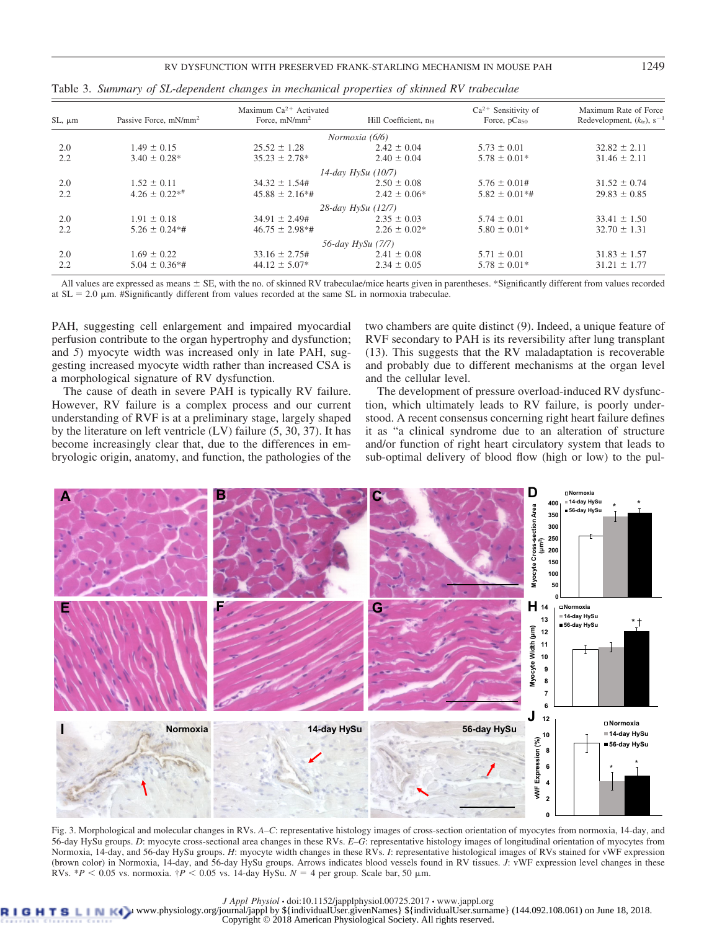| $SL, \mu m$ | Passive Force, mN/mm <sup>2</sup> | Maximum $Ca^{2+}$ Activated<br>Force, mN/mm <sup>2</sup> | Hill Coefficient, n <sub>H</sub> | $Ca2+$ Sensitivity of<br>Force, pCa <sub>50</sub> | Maximum Rate of Force<br>Redevelopment, $(ktr)$ , s <sup>-1</sup> |
|-------------|-----------------------------------|----------------------------------------------------------|----------------------------------|---------------------------------------------------|-------------------------------------------------------------------|
|             |                                   |                                                          | Normoxia (6/6)                   |                                                   |                                                                   |
| 2.0         | $1.49 \pm 0.15$                   | $25.52 \pm 1.28$                                         | $2.42 \pm 0.04$                  | $5.73 \pm 0.01$                                   | $32.82 \pm 2.11$                                                  |
| 2.2         | $3.40 \pm 0.28^*$                 | $35.23 \pm 2.78^*$                                       | $2.40 \pm 0.04$                  | $5.78 \pm 0.01*$                                  | $31.46 \pm 2.11$                                                  |
|             |                                   |                                                          | $14$ -day HySu (10/7)            |                                                   |                                                                   |
| 2.0         | $1.52 \pm 0.11$                   | $34.32 \pm 1.54$ #                                       | $2.50 \pm 0.08$                  | $5.76 \pm 0.01$ #                                 | $31.52 \pm 0.74$                                                  |
| 2.2         | $4.26 \pm 0.22**$                 | $45.88 \pm 2.16*$ #                                      | $2.42 \pm 0.06*$                 | $5.82 \pm 0.01**$                                 | $29.83 \pm 0.85$                                                  |
|             |                                   |                                                          | 28-day HySu (12/7)               |                                                   |                                                                   |
| 2.0         | $1.91 \pm 0.18$                   | $34.91 \pm 2.49$ #                                       | $2.35 \pm 0.03$                  | $5.74 \pm 0.01$                                   | $33.41 \pm 1.50$                                                  |
| 2.2         | $5.26 \pm 0.24**$                 | $46.75 \pm 2.98$ *#                                      | $2.26 \pm 0.02*$                 | $5.80 \pm 0.01*$                                  | $32.70 \pm 1.31$                                                  |
|             |                                   |                                                          | 56-day HySu (7/7)                |                                                   |                                                                   |
| 2.0         | $1.69 \pm 0.22$                   | $33.16 \pm 2.75$ #                                       | $2.41 \pm 0.08$                  | $5.71 \pm 0.01$                                   | $31.83 \pm 1.57$                                                  |
| 2.2         | $5.04 \pm 0.36**$                 | $44.12 \pm 5.07*$                                        | $2.34 \pm 0.05$                  | $5.78 \pm 0.01*$                                  | $31.21 \pm 1.77$                                                  |

Table 3. *Summary of SL-dependent changes in mechanical properties of skinned RV trabeculae*

All values are expressed as means  $\pm$  SE, with the no. of skinned RV trabeculae/mice hearts given in parentheses. \*Significantly different from values recorded at  $SL = 2.0 \mu m$ . #Significantly different from values recorded at the same SL in normoxia trabeculae.

PAH, suggesting cell enlargement and impaired myocardial perfusion contribute to the organ hypertrophy and dysfunction; and *5*) myocyte width was increased only in late PAH, suggesting increased myocyte width rather than increased CSA is a morphological signature of RV dysfunction.

The cause of death in severe PAH is typically RV failure. However, RV failure is a complex process and our current understanding of RVF is at a preliminary stage, largely shaped by the literature on left ventricle (LV) failure (5, 30, 37). It has become increasingly clear that, due to the differences in embryologic origin, anatomy, and function, the pathologies of the

two chambers are quite distinct (9). Indeed, a unique feature of RVF secondary to PAH is its reversibility after lung transplant (13). This suggests that the RV maladaptation is recoverable and probably due to different mechanisms at the organ level and the cellular level.

The development of pressure overload-induced RV dysfunction, which ultimately leads to RV failure, is poorly understood. A recent consensus concerning right heart failure defines it as "a clinical syndrome due to an alteration of structure and/or function of right heart circulatory system that leads to sub-optimal delivery of blood flow (high or low) to the pul-



Fig. 3. Morphological and molecular changes in RVs. *A–C*: representative histology images of cross-section orientation of myocytes from normoxia, 14-day, and 56-day HySu groups. *D*: myocyte cross-sectional area changes in these RVs. *E–G*: representative histology images of longitudinal orientation of myocytes from Normoxia, 14-day, and 56-day HySu groups. *H*: myocyte width changes in these RVs. *I*: representative histological images of RVs stained for vWF expression (brown color) in Normoxia, 14-day, and 56-day HySu groups. Arrows indicates blood vessels found in RV tissues. *J*: vWF expression level changes in these RVs.  $*P < 0.05$  vs. normoxia.  $\frac{4}{7}P < 0.05$  vs. 14-day HySu.  $N = 4$  per group. Scale bar, 50  $\mu$ m.

*J Appl Physiol* • doi:10.1152/japplphysiol.00725.2017 • www.jappl.org<br>B L D Www.physiology.org/journal/jappl by \${individualUser.givenNames} \${individualUser.surname} (144.092.108.061) on June 18, 2018.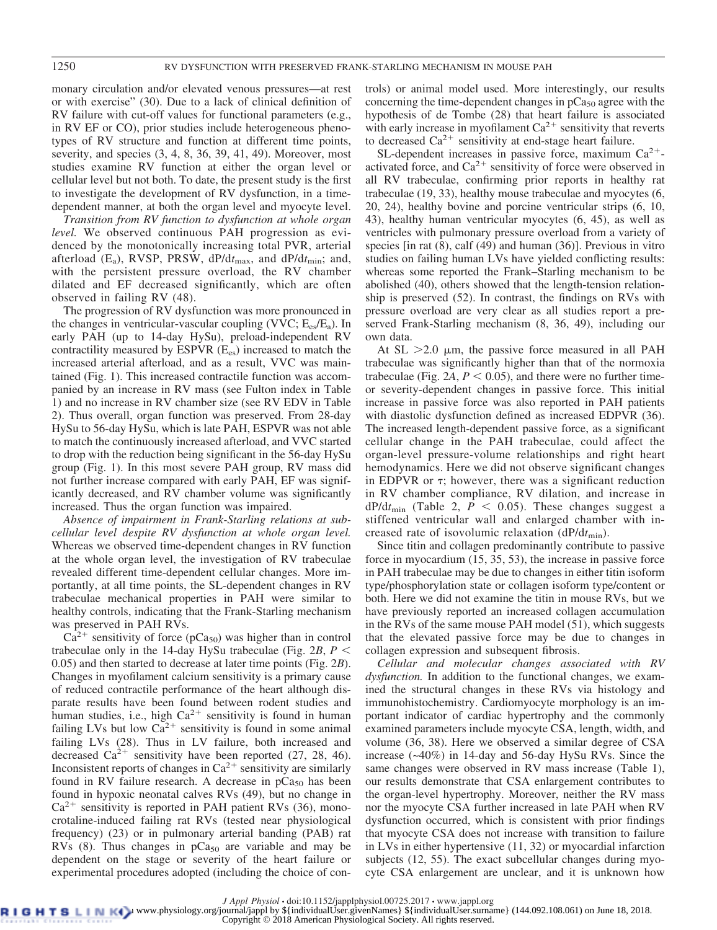monary circulation and/or elevated venous pressures—at rest or with exercise" (30). Due to a lack of clinical definition of RV failure with cut-off values for functional parameters (e.g., in RV EF or CO), prior studies include heterogeneous phenotypes of RV structure and function at different time points, severity, and species (3, 4, 8, 36, 39, 41, 49). Moreover, most studies examine RV function at either the organ level or cellular level but not both. To date, the present study is the first to investigate the development of RV dysfunction, in a timedependent manner, at both the organ level and myocyte level.

*Transition from RV function to dysfunction at whole organ level.* We observed continuous PAH progression as evidenced by the monotonically increasing total PVR, arterial afterload (E<sub>a</sub>), RVSP, PRSW, dP/dt<sub>max</sub>, and dP/dt<sub>min</sub>; and, with the persistent pressure overload, the RV chamber dilated and EF decreased significantly, which are often observed in failing RV (48).

The progression of RV dysfunction was more pronounced in the changes in ventricular-vascular coupling (VVC;  $E_{es}/E_a$ ). In early PAH (up to 14-day HySu), preload-independent RV contractility measured by  $ESPVR(E_{es})$  increased to match the increased arterial afterload, and as a result, VVC was maintained (Fig. 1). This increased contractile function was accompanied by an increase in RV mass (see Fulton index in Table 1) and no increase in RV chamber size (see RV EDV in Table 2). Thus overall, organ function was preserved. From 28-day HySu to 56-day HySu, which is late PAH, ESPVR was not able to match the continuously increased afterload, and VVC started to drop with the reduction being significant in the 56-day HySu group (Fig. 1). In this most severe PAH group, RV mass did not further increase compared with early PAH, EF was significantly decreased, and RV chamber volume was significantly increased. Thus the organ function was impaired.

*Absence of impairment in Frank-Starling relations at subcellular level despite RV dysfunction at whole organ level.* Whereas we observed time-dependent changes in RV function at the whole organ level, the investigation of RV trabeculae revealed different time-dependent cellular changes. More importantly, at all time points, the SL-dependent changes in RV trabeculae mechanical properties in PAH were similar to healthy controls, indicating that the Frank-Starling mechanism was preserved in PAH RVs.

 $Ca<sup>2+</sup>$  sensitivity of force (pCa<sub>50</sub>) was higher than in control trabeculae only in the 14-day HySu trabeculae (Fig. 2*B*, *P* 0.05) and then started to decrease at later time points (Fig. 2*B*). Changes in myofilament calcium sensitivity is a primary cause of reduced contractile performance of the heart although disparate results have been found between rodent studies and human studies, i.e., high  $Ca^{2+}$  sensitivity is found in human failing LVs but low  $Ca^{2+}$  sensitivity is found in some animal failing LVs (28). Thus in LV failure, both increased and decreased  $Ca^{2+}$  sensitivity have been reported (27, 28, 46). Inconsistent reports of changes in  $Ca^{2+}$  sensitivity are similarly found in RV failure research. A decrease in  $pCa<sub>50</sub>$  has been found in hypoxic neonatal calves RVs (49), but no change in  $Ca^{2+}$  sensitivity is reported in PAH patient RVs (36), monocrotaline-induced failing rat RVs (tested near physiological frequency) (23) or in pulmonary arterial banding (PAB) rat RVs  $(8)$ . Thus changes in pCa<sub>50</sub> are variable and may be dependent on the stage or severity of the heart failure or experimental procedures adopted (including the choice of controls) or animal model used. More interestingly, our results concerning the time-dependent changes in  $pCa<sub>50</sub>$  agree with the hypothesis of de Tombe (28) that heart failure is associated with early increase in myofilament  $Ca^{2+}$  sensitivity that reverts to decreased  $Ca^{2+}$  sensitivity at end-stage heart failure.

SL-dependent increases in passive force, maximum  $Ca^{2+}$ activated force, and  $Ca^{2+}$  sensitivity of force were observed in all RV trabeculae, confirming prior reports in healthy rat trabeculae (19, 33), healthy mouse trabeculae and myocytes (6, 20, 24), healthy bovine and porcine ventricular strips (6, 10, 43), healthy human ventricular myocytes (6, 45), as well as ventricles with pulmonary pressure overload from a variety of species [in rat (8), calf (49) and human (36)]. Previous in vitro studies on failing human LVs have yielded conflicting results: whereas some reported the Frank–Starling mechanism to be abolished (40), others showed that the length-tension relationship is preserved (52). In contrast, the findings on RVs with pressure overload are very clear as all studies report a preserved Frank-Starling mechanism (8, 36, 49), including our own data.

At SL  $>2.0$  µm, the passive force measured in all PAH trabeculae was significantly higher than that of the normoxia trabeculae (Fig. 2A,  $P \le 0.05$ ), and there were no further timeor severity-dependent changes in passive force. This initial increase in passive force was also reported in PAH patients with diastolic dysfunction defined as increased EDPVR (36). The increased length-dependent passive force, as a significant cellular change in the PAH trabeculae, could affect the organ-level pressure-volume relationships and right heart hemodynamics. Here we did not observe significant changes in EDPVR or  $\tau$ ; however, there was a significant reduction in RV chamber compliance, RV dilation, and increase in  $dP/dt_{\text{min}}$  (Table 2,  $\overline{P}$  < 0.05). These changes suggest a stiffened ventricular wall and enlarged chamber with increased rate of isovolumic relaxation  $(dP/dt<sub>min</sub>)$ .

Since titin and collagen predominantly contribute to passive force in myocardium (15, 35, 53), the increase in passive force in PAH trabeculae may be due to changes in either titin isoform type/phosphorylation state or collagen isoform type/content or both. Here we did not examine the titin in mouse RVs, but we have previously reported an increased collagen accumulation in the RVs of the same mouse PAH model (51), which suggests that the elevated passive force may be due to changes in collagen expression and subsequent fibrosis.

*Cellular and molecular changes associated with RV dysfunction.* In addition to the functional changes, we examined the structural changes in these RVs via histology and immunohistochemistry. Cardiomyocyte morphology is an important indicator of cardiac hypertrophy and the commonly examined parameters include myocyte CSA, length, width, and volume (36, 38). Here we observed a similar degree of CSA increase (~40%) in 14-day and 56-day HySu RVs. Since the same changes were observed in RV mass increase (Table 1), our results demonstrate that CSA enlargement contributes to the organ-level hypertrophy. Moreover, neither the RV mass nor the myocyte CSA further increased in late PAH when RV dysfunction occurred, which is consistent with prior findings that myocyte CSA does not increase with transition to failure in LVs in either hypertensive (11, 32) or myocardial infarction subjects (12, 55). The exact subcellular changes during myocyte CSA enlargement are unclear, and it is unknown how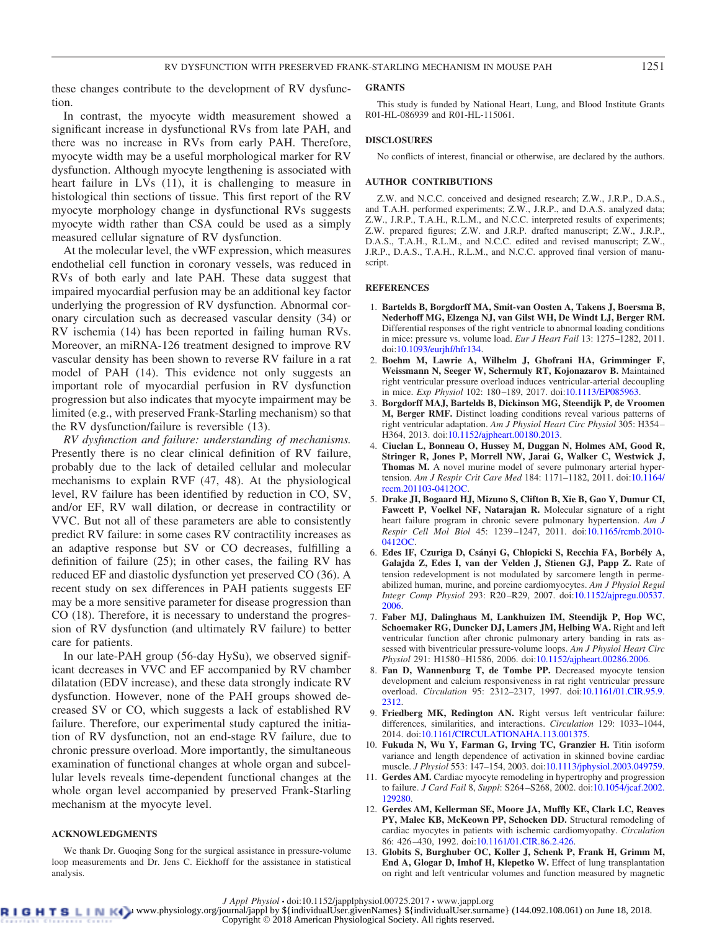these changes contribute to the development of RV dysfunction.

In contrast, the myocyte width measurement showed a significant increase in dysfunctional RVs from late PAH, and there was no increase in RVs from early PAH. Therefore, myocyte width may be a useful morphological marker for RV dysfunction. Although myocyte lengthening is associated with heart failure in LVs (11), it is challenging to measure in histological thin sections of tissue. This first report of the RV myocyte morphology change in dysfunctional RVs suggests myocyte width rather than CSA could be used as a simply measured cellular signature of RV dysfunction.

At the molecular level, the vWF expression, which measures endothelial cell function in coronary vessels, was reduced in RVs of both early and late PAH. These data suggest that impaired myocardial perfusion may be an additional key factor underlying the progression of RV dysfunction. Abnormal coronary circulation such as decreased vascular density (34) or RV ischemia (14) has been reported in failing human RVs. Moreover, an miRNA-126 treatment designed to improve RV vascular density has been shown to reverse RV failure in a rat model of PAH (14). This evidence not only suggests an important role of myocardial perfusion in RV dysfunction progression but also indicates that myocyte impairment may be limited (e.g., with preserved Frank-Starling mechanism) so that the RV dysfunction/failure is reversible (13).

*RV dysfunction and failure: understanding of mechanisms.* Presently there is no clear clinical definition of RV failure, probably due to the lack of detailed cellular and molecular mechanisms to explain RVF (47, 48). At the physiological level, RV failure has been identified by reduction in CO, SV, and/or EF, RV wall dilation, or decrease in contractility or VVC. But not all of these parameters are able to consistently predict RV failure: in some cases RV contractility increases as an adaptive response but SV or CO decreases, fulfilling a definition of failure (25); in other cases, the failing RV has reduced EF and diastolic dysfunction yet preserved CO (36). A recent study on sex differences in PAH patients suggests EF may be a more sensitive parameter for disease progression than CO (18). Therefore, it is necessary to understand the progression of RV dysfunction (and ultimately RV failure) to better care for patients.

In our late-PAH group (56-day HySu), we observed significant decreases in VVC and EF accompanied by RV chamber dilatation (EDV increase), and these data strongly indicate RV dysfunction. However, none of the PAH groups showed decreased SV or CO, which suggests a lack of established RV failure. Therefore, our experimental study captured the initiation of RV dysfunction, not an end-stage RV failure, due to chronic pressure overload. More importantly, the simultaneous examination of functional changes at whole organ and subcellular levels reveals time-dependent functional changes at the whole organ level accompanied by preserved Frank-Starling mechanism at the myocyte level.

#### **ACKNOWLEDGMENTS**

We thank Dr. Guoqing Song for the surgical assistance in pressure-volume loop measurements and Dr. Jens C. Eickhoff for the assistance in statistical analysis.

#### **GRANTS**

This study is funded by National Heart, Lung, and Blood Institute Grants R01-HL-086939 and R01-HL-115061.

#### **DISCLOSURES**

No conflicts of interest, financial or otherwise, are declared by the authors.

#### **AUTHOR CONTRIBUTIONS**

Z.W. and N.C.C. conceived and designed research; Z.W., J.R.P., D.A.S., and T.A.H. performed experiments; Z.W., J.R.P., and D.A.S. analyzed data; Z.W., J.R.P., T.A.H., R.L.M., and N.C.C. interpreted results of experiments; Z.W. prepared figures; Z.W. and J.R.P. drafted manuscript; Z.W., J.R.P., D.A.S., T.A.H., R.L.M., and N.C.C. edited and revised manuscript; Z.W., J.R.P., D.A.S., T.A.H., R.L.M., and N.C.C. approved final version of manuscript.

#### **REFERENCES**

- 1. **Bartelds B, Borgdorff MA, Smit-van Oosten A, Takens J, Boersma B, Nederhoff MG, Elzenga NJ, van Gilst WH, De Windt LJ, Berger RM.** Differential responses of the right ventricle to abnormal loading conditions in mice: pressure vs. volume load. *Eur J Heart Fail* 13: 1275–1282, 2011. doi[:10.1093/eurjhf/hfr134.](https://doi.org/10.1093/eurjhf/hfr134)
- 2. **Boehm M, Lawrie A, Wilhelm J, Ghofrani HA, Grimminger F, Weissmann N, Seeger W, Schermuly RT, Kojonazarov B.** Maintained right ventricular pressure overload induces ventricular-arterial decoupling in mice. *Exp Physiol* 102: 180 –189, 2017. doi[:10.1113/EP085963.](https://doi.org/10.1113/EP085963)
- 3. **Borgdorff MAJ, Bartelds B, Dickinson MG, Steendijk P, de Vroomen M, Berger RMF.** Distinct loading conditions reveal various patterns of right ventricular adaptation. *Am J Physiol Heart Circ Physiol* 305: H354 – H364, 2013. doi[:10.1152/ajpheart.00180.2013.](https://doi.org/10.1152/ajpheart.00180.2013)
- 4. **Ciuclan L, Bonneau O, Hussey M, Duggan N, Holmes AM, Good R, Stringer R, Jones P, Morrell NW, Jarai G, Walker C, Westwick J, Thomas M.** A novel murine model of severe pulmonary arterial hypertension. *Am J Respir Crit Care Med* 184: 1171–1182, 2011. doi[:10.1164/](https://doi.org/10.1164/rccm.201103-0412OC) [rccm.201103-0412OC.](https://doi.org/10.1164/rccm.201103-0412OC)
- 5. **Drake JI, Bogaard HJ, Mizuno S, Clifton B, Xie B, Gao Y, Dumur CI, Fawcett P, Voelkel NF, Natarajan R.** Molecular signature of a right heart failure program in chronic severe pulmonary hypertension. *Am J Respir Cell Mol Biol* 45: 1239 –1247, 2011. doi[:10.1165/rcmb.2010-](https://doi.org/10.1165/rcmb.2010-0412OC) [0412OC.](https://doi.org/10.1165/rcmb.2010-0412OC)
- 6. **Edes IF, Czuriga D, Csányi G, Chlopicki S, Recchia FA, Borbély A, Galajda Z, Edes I, van der Velden J, Stienen GJ, Papp Z.** Rate of tension redevelopment is not modulated by sarcomere length in permeabilized human, murine, and porcine cardiomyocytes. *Am J Physiol Regul Integr Comp Physiol* 293: R20 –R29, 2007. doi[:10.1152/ajpregu.00537.](https://doi.org/10.1152/ajpregu.00537.2006) [2006.](https://doi.org/10.1152/ajpregu.00537.2006)
- 7. **Faber MJ, Dalinghaus M, Lankhuizen IM, Steendijk P, Hop WC, Schoemaker RG, Duncker DJ, Lamers JM, Helbing WA.** Right and left ventricular function after chronic pulmonary artery banding in rats assessed with biventricular pressure-volume loops. *Am J Physiol Heart Circ Physiol* 291: H1580 –H1586, 2006. doi[:10.1152/ajpheart.00286.2006.](https://doi.org/10.1152/ajpheart.00286.2006)
- 8. **Fan D, Wannenburg T, de Tombe PP.** Decreased myocyte tension development and calcium responsiveness in rat right ventricular pressure overload. *Circulation* 95: 2312–2317, 1997. doi[:10.1161/01.CIR.95.9.](https://doi.org/10.1161/01.CIR.95.9.2312) [2312.](https://doi.org/10.1161/01.CIR.95.9.2312)
- 9. **Friedberg MK, Redington AN.** Right versus left ventricular failure: differences, similarities, and interactions. *Circulation* 129: 1033–1044, 2014. doi[:10.1161/CIRCULATIONAHA.113.001375.](https://doi.org/10.1161/CIRCULATIONAHA.113.001375)
- 10. **Fukuda N, Wu Y, Farman G, Irving TC, Granzier H.** Titin isoform variance and length dependence of activation in skinned bovine cardiac muscle. *J Physiol* 553: 147–154, 2003. doi[:10.1113/jphysiol.2003.049759.](https://doi.org/10.1113/jphysiol.2003.049759)
- 11. **Gerdes AM.** Cardiac myocyte remodeling in hypertrophy and progression to failure. *J Card Fail* 8, *Suppl*: S264 –S268, 2002. doi[:10.1054/jcaf.2002.](https://doi.org/10.1054/jcaf.2002.129280) [129280.](https://doi.org/10.1054/jcaf.2002.129280)
- 12. **Gerdes AM, Kellerman SE, Moore JA, Muffly KE, Clark LC, Reaves PY, Malec KB, McKeown PP, Schocken DD.** Structural remodeling of cardiac myocytes in patients with ischemic cardiomyopathy. *Circulation* 86: 426 –430, 1992. doi[:10.1161/01.CIR.86.2.426.](https://doi.org/10.1161/01.CIR.86.2.426)
- 13. **Globits S, Burghuber OC, Koller J, Schenk P, Frank H, Grimm M, End A, Glogar D, Imhof H, Klepetko W.** Effect of lung transplantation on right and left ventricular volumes and function measured by magnetic

*J Appl Physiol* • doi:10.1152/japplphysiol.00725.2017 • www.jappl.org<br>B L D Www.physiology.org/journal/jappl by \${individualUser.givenNames} \${individualUser.surname} (144.092.108.061) on June 18, 2018.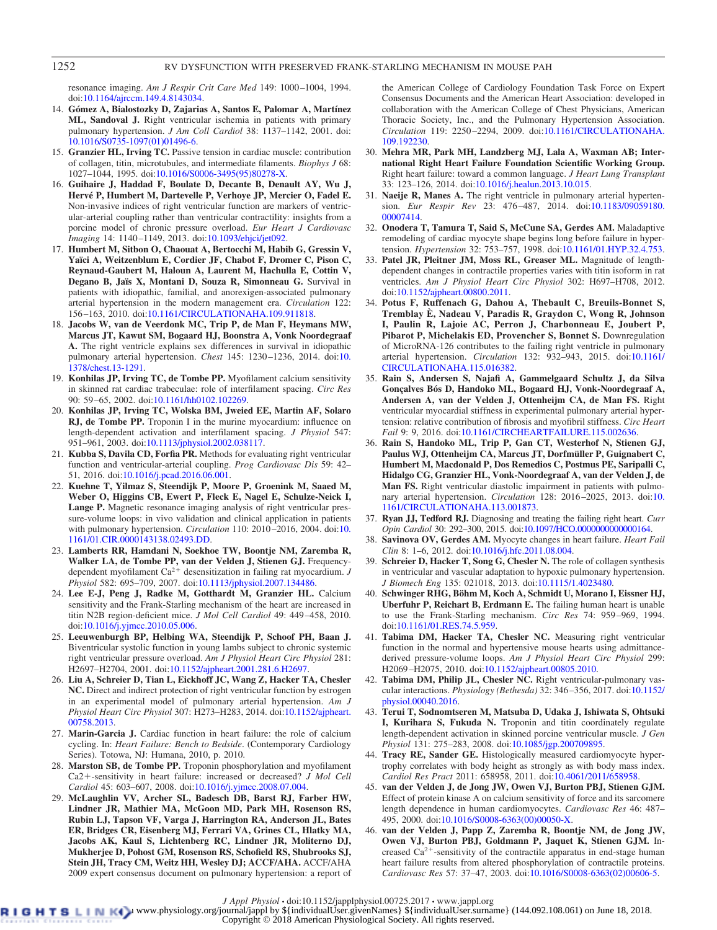resonance imaging. *Am J Respir Crit Care Med* 149: 1000 –1004, 1994. doi[:10.1164/ajrccm.149.4.8143034.](https://doi.org/10.1164/ajrccm.149.4.8143034)

- 14. **Gómez A, Bialostozky D, Zajarias A, Santos E, Palomar A, Martínez ML, Sandoval J.** Right ventricular ischemia in patients with primary pulmonary hypertension. *J Am Coll Cardiol* 38: 1137–1142, 2001. doi: [10.1016/S0735-1097\(01\)01496-6.](https://doi.org/10.1016/S0735-1097%2801%2901496-6)
- 15. **Granzier HL, Irving TC.** Passive tension in cardiac muscle: contribution of collagen, titin, microtubules, and intermediate filaments. *Biophys J* 68: 1027–1044, 1995. doi[:10.1016/S0006-3495\(95\)80278-X.](https://doi.org/10.1016/S0006-3495%2895%2980278-X)
- 16. **Guihaire J, Haddad F, Boulate D, Decante B, Denault AY, Wu J, Hervé P, Humbert M, Dartevelle P, Verhoye JP, Mercier O, Fadel E.** Non-invasive indices of right ventricular function are markers of ventricular-arterial coupling rather than ventricular contractility: insights from a porcine model of chronic pressure overload. *Eur Heart J Cardiovasc Imaging* 14: 1140 –1149, 2013. doi[:10.1093/ehjci/jet092.](https://doi.org/10.1093/ehjci/jet092)
- 17. **Humbert M, Sitbon O, Chaouat A, Bertocchi M, Habib G, Gressin V, Yaïci A, Weitzenblum E, Cordier JF, Chabot F, Dromer C, Pison C, Reynaud-Gaubert M, Haloun A, Laurent M, Hachulla E, Cottin V, Degano B, Jaïs X, Montani D, Souza R, Simonneau G.** Survival in patients with idiopathic, familial, and anorexigen-associated pulmonary arterial hypertension in the modern management era. *Circulation* 122: 156 –163, 2010. doi[:10.1161/CIRCULATIONAHA.109.911818.](https://doi.org/10.1161/CIRCULATIONAHA.109.911818)
- 18. **Jacobs W, van de Veerdonk MC, Trip P, de Man F, Heymans MW, Marcus JT, Kawut SM, Bogaard HJ, Boonstra A, Vonk Noordegraaf A.** The right ventricle explains sex differences in survival in idiopathic pulmonary arterial hypertension. *Chest* 145: 1230 –1236, 2014. doi[:10.](https://doi.org/10.1378/chest.13-1291) [1378/chest.13-1291.](https://doi.org/10.1378/chest.13-1291)
- 19. **Konhilas JP, Irving TC, de Tombe PP.** Myofilament calcium sensitivity in skinned rat cardiac trabeculae: role of interfilament spacing. *Circ Res* 90: 59 –65, 2002. doi[:10.1161/hh0102.102269.](https://doi.org/10.1161/hh0102.102269)
- 20. **Konhilas JP, Irving TC, Wolska BM, Jweied EE, Martin AF, Solaro RJ, de Tombe PP.** Troponin I in the murine myocardium: influence on length-dependent activation and interfilament spacing. *J Physiol* 547: 951–961, 2003. doi[:10.1113/jphysiol.2002.038117.](https://doi.org/10.1113/jphysiol.2002.038117)
- 21. **Kubba S, Davila CD, Forfia PR.** Methods for evaluating right ventricular function and ventricular-arterial coupling. *Prog Cardiovasc Dis* 59: 42– 51, 2016. doi[:10.1016/j.pcad.2016.06.001.](https://doi.org/10.1016/j.pcad.2016.06.001)
- 22. **Kuehne T, Yilmaz S, Steendijk P, Moore P, Groenink M, Saaed M, Weber O, Higgins CB, Ewert P, Fleck E, Nagel E, Schulze-Neick I, Lange P.** Magnetic resonance imaging analysis of right ventricular pressure-volume loops: in vivo validation and clinical application in patients with pulmonary hypertension. *Circulation* 110: 2010 –2016, 2004. doi[:10.](https://doi.org/10.1161/01.CIR.0000143138.02493.DD) [1161/01.CIR.0000143138.02493.DD.](https://doi.org/10.1161/01.CIR.0000143138.02493.DD)
- 23. **Lamberts RR, Hamdani N, Soekhoe TW, Boontje NM, Zaremba R, Walker LA, de Tombe PP, van der Velden J, Stienen GJ.** Frequencydependent myofilament Ca<sup>2+</sup> desensitization in failing rat myocardium. *J Physiol* 582: 695–709, 2007. doi[:10.1113/jphysiol.2007.134486.](https://doi.org/10.1113/jphysiol.2007.134486)
- 24. **Lee E-J, Peng J, Radke M, Gotthardt M, Granzier HL.** Calcium sensitivity and the Frank-Starling mechanism of the heart are increased in titin N2B region-deficient mice. *J Mol Cell Cardiol* 49: 449 –458, 2010. doi[:10.1016/j.yjmcc.2010.05.006.](https://doi.org/10.1016/j.yjmcc.2010.05.006)
- 25. **Leeuwenburgh BP, Helbing WA, Steendijk P, Schoof PH, Baan J.** Biventricular systolic function in young lambs subject to chronic systemic right ventricular pressure overload. *Am J Physiol Heart Circ Physiol* 281: H2697–H2704, 2001. doi[:10.1152/ajpheart.2001.281.6.H2697.](https://doi.org/10.1152/ajpheart.2001.281.6.H2697)
- 26. **Liu A, Schreier D, Tian L, Eickhoff JC, Wang Z, Hacker TA, Chesler NC.** Direct and indirect protection of right ventricular function by estrogen in an experimental model of pulmonary arterial hypertension. *Am J Physiol Heart Circ Physiol* 307: H273–H283, 2014. doi[:10.1152/ajpheart.](https://doi.org/10.1152/ajpheart.00758.2013) [00758.2013.](https://doi.org/10.1152/ajpheart.00758.2013)
- 27. **Marin-Garcia J.** Cardiac function in heart failure: the role of calcium cycling. In: *Heart Failure: Bench to Bedside*. (Contemporary Cardiology Series). Totowa, NJ: Humana, 2010, p. 2010.
- 28. **Marston SB, de Tombe PP.** Troponin phosphorylation and myofilament Ca2+-sensitivity in heart failure: increased or decreased? *J Mol Cell Cardiol* 45: 603–607, 2008. doi[:10.1016/j.yjmcc.2008.07.004.](https://doi.org/10.1016/j.yjmcc.2008.07.004)
- 29. **McLaughlin VV, Archer SL, Badesch DB, Barst RJ, Farber HW, Lindner JR, Mathier MA, McGoon MD, Park MH, Rosenson RS, Rubin LJ, Tapson VF, Varga J, Harrington RA, Anderson JL, Bates ER, Bridges CR, Eisenberg MJ, Ferrari VA, Grines CL, Hlatky MA, Jacobs AK, Kaul S, Lichtenberg RC, Lindner JR, Moliterno DJ, Mukherjee D, Pohost GM, Rosenson RS, Schofield RS, Shubrooks SJ, Stein JH, Tracy CM, Weitz HH, Wesley DJ; ACCF/AHA.** ACCF/AHA 2009 expert consensus document on pulmonary hypertension: a report of

the American College of Cardiology Foundation Task Force on Expert Consensus Documents and the American Heart Association: developed in collaboration with the American College of Chest Physicians, American Thoracic Society, Inc., and the Pulmonary Hypertension Association. *Circulation* 119: 2250 –2294, 2009. doi[:10.1161/CIRCULATIONAHA.](https://doi.org/10.1161/CIRCULATIONAHA.109.192230) [109.192230.](https://doi.org/10.1161/CIRCULATIONAHA.109.192230)

- 30. **Mehra MR, Park MH, Landzberg MJ, Lala A, Waxman AB; International Right Heart Failure Foundation Scientific Working Group.** Right heart failure: toward a common language. *J Heart Lung Transplant* 33: 123–126, 2014. doi[:10.1016/j.healun.2013.10.015.](https://doi.org/10.1016/j.healun.2013.10.015)
- 31. **Naeije R, Manes A.** The right ventricle in pulmonary arterial hypertension. *Eur Respir Rev* 23: 476 –487, 2014. doi[:10.1183/09059180.](https://doi.org/10.1183/09059180.00007414) [00007414.](https://doi.org/10.1183/09059180.00007414)
- 32. **Onodera T, Tamura T, Said S, McCune SA, Gerdes AM.** Maladaptive remodeling of cardiac myocyte shape begins long before failure in hypertension. *Hypertension* 32: 753–757, 1998. doi[:10.1161/01.HYP.32.4.753.](https://doi.org/10.1161/01.HYP.32.4.753)
- 33. **Patel JR, Pleitner JM, Moss RL, Greaser ML.** Magnitude of lengthdependent changes in contractile properties varies with titin isoform in rat ventricles. *Am J Physiol Heart Circ Physiol* 302: H697–H708, 2012. doi[:10.1152/ajpheart.00800.2011.](https://doi.org/10.1152/ajpheart.00800.2011)
- 34. **Potus F, Ruffenach G, Dahou A, Thebault C, Breuils-Bonnet S, Tremblay È, Nadeau V, Paradis R, Graydon C, Wong R, Johnson I, Paulin R, Lajoie AC, Perron J, Charbonneau E, Joubert P, Pibarot P, Michelakis ED, Provencher S, Bonnet S.** Downregulation of MicroRNA-126 contributes to the failing right ventricle in pulmonary arterial hypertension. *Circulation* 132: 932–943, 2015. doi[:10.1161/](https://doi.org/10.1161/CIRCULATIONAHA.115.016382) [CIRCULATIONAHA.115.016382.](https://doi.org/10.1161/CIRCULATIONAHA.115.016382)
- 35. **Rain S, Andersen S, Najafi A, Gammelgaard Schultz J, da Silva Gonçalves Bós D, Handoko ML, Bogaard HJ, Vonk-Noordegraaf A, Andersen A, van der Velden J, Ottenheijm CA, de Man FS.** Right ventricular myocardial stiffness in experimental pulmonary arterial hypertension: relative contribution of fibrosis and myofibril stiffness. *Circ Heart Fail* 9: 9, 2016. doi[:10.1161/CIRCHEARTFAILURE.115.002636.](https://doi.org/10.1161/CIRCHEARTFAILURE.115.002636)
- 36. **Rain S, Handoko ML, Trip P, Gan CT, Westerhof N, Stienen GJ, Paulus WJ, Ottenheijm CA, Marcus JT, Dorfmüller P, Guignabert C, Humbert M, Macdonald P, Dos Remedios C, Postmus PE, Saripalli C, Hidalgo CG, Granzier HL, Vonk-Noordegraaf A, van der Velden J, de Man FS.** Right ventricular diastolic impairment in patients with pulmonary arterial hypertension. *Circulation* 128: 2016 –2025, 2013. doi[:10.](https://doi.org/10.1161/CIRCULATIONAHA.113.001873) [1161/CIRCULATIONAHA.113.001873.](https://doi.org/10.1161/CIRCULATIONAHA.113.001873)
- 37. **Ryan JJ, Tedford RJ.** Diagnosing and treating the failing right heart. *Curr Opin Cardiol* 30: 292–300, 2015. doi[:10.1097/HCO.0000000000000164.](https://doi.org/10.1097/HCO.0000000000000164)
- 38. **Savinova OV, Gerdes AM.** Myocyte changes in heart failure. *Heart Fail Clin* 8: 1–6, 2012. doi[:10.1016/j.hfc.2011.08.004.](https://doi.org/10.1016/j.hfc.2011.08.004)
- 39. **Schreier D, Hacker T, Song G, Chesler N.** The role of collagen synthesis in ventricular and vascular adaptation to hypoxic pulmonary hypertension. *J Biomech Eng* 135: 021018, 2013. doi[:10.1115/1.4023480.](https://doi.org/10.1115/1.4023480)
- 40. **Schwinger RHG, Böhm M, Koch A, Schmidt U, Morano I, Eissner HJ, Uberfuhr P, Reichart B, Erdmann E.** The failing human heart is unable to use the Frank-Starling mechanism. *Circ Res* 74: 959 –969, 1994. doi[:10.1161/01.RES.74.5.959.](https://doi.org/10.1161/01.RES.74.5.959)
- 41. **Tabima DM, Hacker TA, Chesler NC.** Measuring right ventricular function in the normal and hypertensive mouse hearts using admittancederived pressure-volume loops. *Am J Physiol Heart Circ Physiol* 299: H2069 –H2075, 2010. doi[:10.1152/ajpheart.00805.2010.](https://doi.org/10.1152/ajpheart.00805.2010)
- 42. **Tabima DM, Philip JL, Chesler NC.** Right ventricular-pulmonary vascular interactions. *Physiology (Bethesda)* 32: 346 –356, 2017. doi[:10.1152/](https://doi.org/10.1152/physiol.00040.2016) [physiol.00040.2016.](https://doi.org/10.1152/physiol.00040.2016)
- 43. **Terui T, Sodnomtseren M, Matsuba D, Udaka J, Ishiwata S, Ohtsuki I, Kurihara S, Fukuda N.** Troponin and titin coordinately regulate length-dependent activation in skinned porcine ventricular muscle. *J Gen Physiol* 131: 275–283, 2008. doi[:10.1085/jgp.200709895.](https://doi.org/10.1085/jgp.200709895)
- 44. **Tracy RE, Sander GE.** Histologically measured cardiomyocyte hypertrophy correlates with body height as strongly as with body mass index. *Cardiol Res Pract* 2011: 658958, 2011. doi[:10.4061/2011/658958.](https://doi.org/10.4061/2011/658958)
- 45. **van der Velden J, de Jong JW, Owen VJ, Burton PBJ, Stienen GJM.** Effect of protein kinase A on calcium sensitivity of force and its sarcomere length dependence in human cardiomyocytes. *Cardiovasc Res* 46: 487– 495, 2000. doi[:10.1016/S0008-6363\(00\)00050-X.](https://doi.org/10.1016/S0008-6363%2800%2900050-X)
- 46. **van der Velden J, Papp Z, Zaremba R, Boontje NM, de Jong JW, Owen VJ, Burton PBJ, Goldmann P, Jaquet K, Stienen GJM.** Increased  $Ca^{2+}$ -sensitivity of the contractile apparatus in end-stage human heart failure results from altered phosphorylation of contractile proteins. *Cardiovasc Res* 57: 37–47, 2003. doi[:10.1016/S0008-6363\(02\)00606-5.](https://doi.org/10.1016/S0008-6363%2802%2900606-5)

*J Appl Physiol* • doi:10.1152/japplphysiol.00725.2017 • www.jappl.org<br>B L D Www.physiology.org/journal/jappl by \${individualUser.givenNames} \${individualUser.surname} (144.092.108.061) on June 18, 2018.